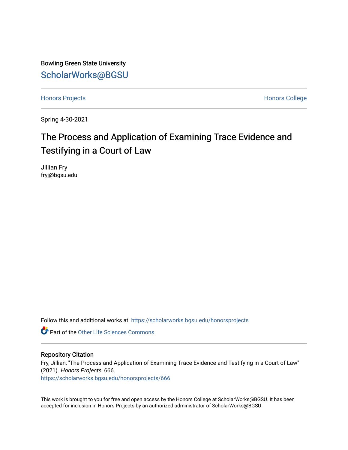Bowling Green State University [ScholarWorks@BGSU](https://scholarworks.bgsu.edu/) 

[Honors Projects](https://scholarworks.bgsu.edu/honorsprojects) **Honors** College

Spring 4-30-2021

## The Process and Application of Examining Trace Evidence and Testifying in a Court of Law

Jillian Fry fryj@bgsu.edu

Follow this and additional works at: [https://scholarworks.bgsu.edu/honorsprojects](https://scholarworks.bgsu.edu/honorsprojects?utm_source=scholarworks.bgsu.edu%2Fhonorsprojects%2F666&utm_medium=PDF&utm_campaign=PDFCoverPages) 

**C** Part of the Other Life Sciences Commons

#### Repository Citation

Fry, Jillian, "The Process and Application of Examining Trace Evidence and Testifying in a Court of Law" (2021). Honors Projects. 666. [https://scholarworks.bgsu.edu/honorsprojects/666](https://scholarworks.bgsu.edu/honorsprojects/666?utm_source=scholarworks.bgsu.edu%2Fhonorsprojects%2F666&utm_medium=PDF&utm_campaign=PDFCoverPages) 

This work is brought to you for free and open access by the Honors College at ScholarWorks@BGSU. It has been accepted for inclusion in Honors Projects by an authorized administrator of ScholarWorks@BGSU.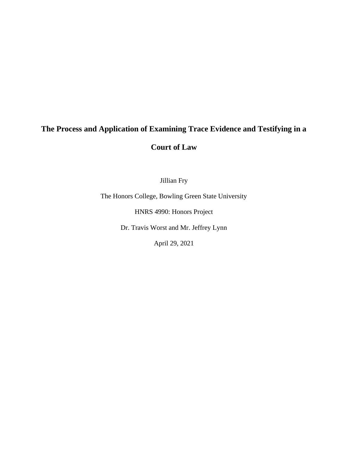# **The Process and Application of Examining Trace Evidence and Testifying in a Court of Law**

Jillian Fry

The Honors College, Bowling Green State University

HNRS 4990: Honors Project

Dr. Travis Worst and Mr. Jeffrey Lynn

April 29, 2021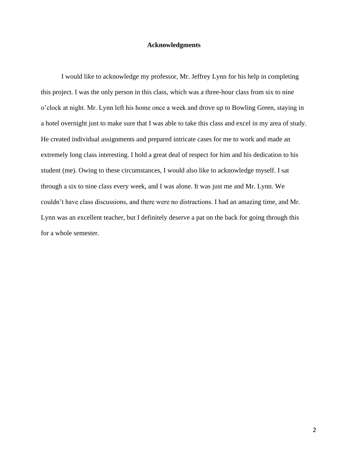#### **Acknowledgments**

I would like to acknowledge my professor, Mr. Jeffrey Lynn for his help in completing this project. I was the only person in this class, which was a three-hour class from six to nine o'clock at night. Mr. Lynn left his home once a week and drove up to Bowling Green, staying in a hotel overnight just to make sure that I was able to take this class and excel in my area of study. He created individual assignments and prepared intricate cases for me to work and made an extremely long class interesting. I hold a great deal of respect for him and his dedication to his student (me). Owing to these circumstances, I would also like to acknowledge myself. I sat through a six to nine class every week, and I was alone. It was just me and Mr. Lynn. We couldn't have class discussions, and there were no distractions. I had an amazing time, and Mr. Lynn was an excellent teacher, but I definitely deserve a pat on the back for going through this for a whole semester.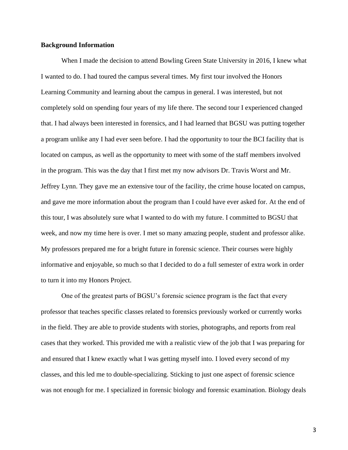#### **Background Information**

When I made the decision to attend Bowling Green State University in 2016, I knew what I wanted to do. I had toured the campus several times. My first tour involved the Honors Learning Community and learning about the campus in general. I was interested, but not completely sold on spending four years of my life there. The second tour I experienced changed that. I had always been interested in forensics, and I had learned that BGSU was putting together a program unlike any I had ever seen before. I had the opportunity to tour the BCI facility that is located on campus, as well as the opportunity to meet with some of the staff members involved in the program. This was the day that I first met my now advisors Dr. Travis Worst and Mr. Jeffrey Lynn. They gave me an extensive tour of the facility, the crime house located on campus, and gave me more information about the program than I could have ever asked for. At the end of this tour, I was absolutely sure what I wanted to do with my future. I committed to BGSU that week, and now my time here is over. I met so many amazing people, student and professor alike. My professors prepared me for a bright future in forensic science. Their courses were highly informative and enjoyable, so much so that I decided to do a full semester of extra work in order to turn it into my Honors Project.

One of the greatest parts of BGSU's forensic science program is the fact that every professor that teaches specific classes related to forensics previously worked or currently works in the field. They are able to provide students with stories, photographs, and reports from real cases that they worked. This provided me with a realistic view of the job that I was preparing for and ensured that I knew exactly what I was getting myself into. I loved every second of my classes, and this led me to double-specializing. Sticking to just one aspect of forensic science was not enough for me. I specialized in forensic biology and forensic examination. Biology deals

3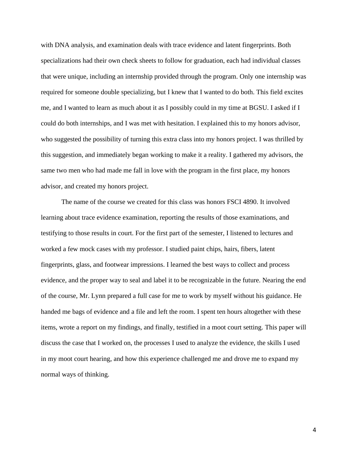with DNA analysis, and examination deals with trace evidence and latent fingerprints. Both specializations had their own check sheets to follow for graduation, each had individual classes that were unique, including an internship provided through the program. Only one internship was required for someone double specializing, but I knew that I wanted to do both. This field excites me, and I wanted to learn as much about it as I possibly could in my time at BGSU. I asked if I could do both internships, and I was met with hesitation. I explained this to my honors advisor, who suggested the possibility of turning this extra class into my honors project. I was thrilled by this suggestion, and immediately began working to make it a reality. I gathered my advisors, the same two men who had made me fall in love with the program in the first place, my honors advisor, and created my honors project.

The name of the course we created for this class was honors FSCI 4890. It involved learning about trace evidence examination, reporting the results of those examinations, and testifying to those results in court. For the first part of the semester, I listened to lectures and worked a few mock cases with my professor. I studied paint chips, hairs, fibers, latent fingerprints, glass, and footwear impressions. I learned the best ways to collect and process evidence, and the proper way to seal and label it to be recognizable in the future. Nearing the end of the course, Mr. Lynn prepared a full case for me to work by myself without his guidance. He handed me bags of evidence and a file and left the room. I spent ten hours altogether with these items, wrote a report on my findings, and finally, testified in a moot court setting. This paper will discuss the case that I worked on, the processes I used to analyze the evidence, the skills I used in my moot court hearing, and how this experience challenged me and drove me to expand my normal ways of thinking.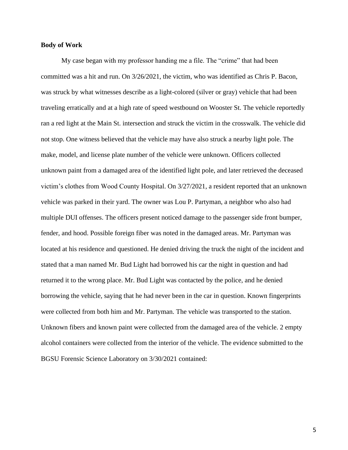#### **Body of Work**

My case began with my professor handing me a file. The "crime" that had been committed was a hit and run. On 3/26/2021, the victim, who was identified as Chris P. Bacon, was struck by what witnesses describe as a light-colored (silver or gray) vehicle that had been traveling erratically and at a high rate of speed westbound on Wooster St. The vehicle reportedly ran a red light at the Main St. intersection and struck the victim in the crosswalk. The vehicle did not stop. One witness believed that the vehicle may have also struck a nearby light pole. The make, model, and license plate number of the vehicle were unknown. Officers collected unknown paint from a damaged area of the identified light pole, and later retrieved the deceased victim's clothes from Wood County Hospital. On 3/27/2021, a resident reported that an unknown vehicle was parked in their yard. The owner was Lou P. Partyman, a neighbor who also had multiple DUI offenses. The officers present noticed damage to the passenger side front bumper, fender, and hood. Possible foreign fiber was noted in the damaged areas. Mr. Partyman was located at his residence and questioned. He denied driving the truck the night of the incident and stated that a man named Mr. Bud Light had borrowed his car the night in question and had returned it to the wrong place. Mr. Bud Light was contacted by the police, and he denied borrowing the vehicle, saying that he had never been in the car in question. Known fingerprints were collected from both him and Mr. Partyman. The vehicle was transported to the station. Unknown fibers and known paint were collected from the damaged area of the vehicle. 2 empty alcohol containers were collected from the interior of the vehicle. The evidence submitted to the BGSU Forensic Science Laboratory on 3/30/2021 contained: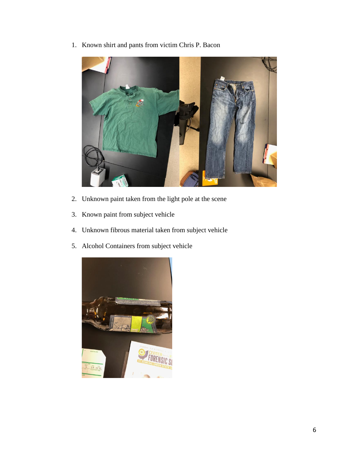1. Known shirt and pants from victim Chris P. Bacon



- 2. Unknown paint taken from the light pole at the scene
- 3. Known paint from subject vehicle
- 4. Unknown fibrous material taken from subject vehicle
- 5. Alcohol Containers from subject vehicle

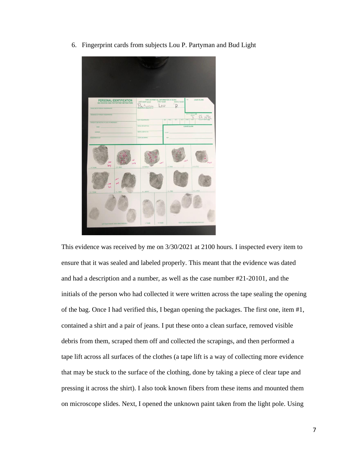6. Fingerprint cards from subjects Lou P. Partyman and Bud Light



This evidence was received by me on 3/30/2021 at 2100 hours. I inspected every item to ensure that it was sealed and labeled properly. This meant that the evidence was dated and had a description and a number, as well as the case number #21-20101, and the initials of the person who had collected it were written across the tape sealing the opening of the bag. Once I had verified this, I began opening the packages. The first one, item #1, contained a shirt and a pair of jeans. I put these onto a clean surface, removed visible debris from them, scraped them off and collected the scrapings, and then performed a tape lift across all surfaces of the clothes (a tape lift is a way of collecting more evidence that may be stuck to the surface of the clothing, done by taking a piece of clear tape and pressing it across the shirt). I also took known fibers from these items and mounted them on microscope slides. Next, I opened the unknown paint taken from the light pole. Using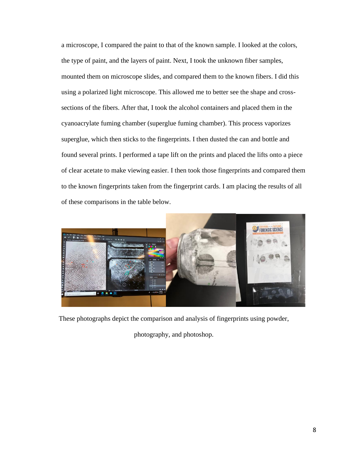a microscope, I compared the paint to that of the known sample. I looked at the colors, the type of paint, and the layers of paint. Next, I took the unknown fiber samples, mounted them on microscope slides, and compared them to the known fibers. I did this using a polarized light microscope. This allowed me to better see the shape and crosssections of the fibers. After that, I took the alcohol containers and placed them in the cyanoacrylate fuming chamber (superglue fuming chamber). This process vaporizes superglue, which then sticks to the fingerprints. I then dusted the can and bottle and found several prints. I performed a tape lift on the prints and placed the lifts onto a piece of clear acetate to make viewing easier. I then took those fingerprints and compared them to the known fingerprints taken from the fingerprint cards. I am placing the results of all of these comparisons in the table below.



These photographs depict the comparison and analysis of fingerprints using powder,

photography, and photoshop.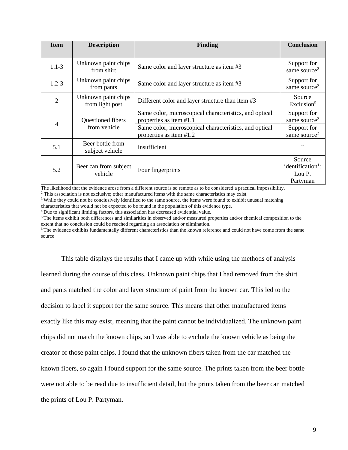| <b>Item</b>    | <b>Description</b>                     | <b>Finding</b>                                                                    | <b>Conclusion</b>                                             |
|----------------|----------------------------------------|-----------------------------------------------------------------------------------|---------------------------------------------------------------|
| $1.1 - 3$      | Unknown paint chips<br>from shirt      | Same color and layer structure as item #3                                         | Support for<br>same source <sup>2</sup>                       |
| $1.2 - 3$      | Unknown paint chips<br>from pants      | Same color and layer structure as item #3                                         | Support for<br>same source <sup>2</sup>                       |
| $\overline{2}$ | Unknown paint chips<br>from light post | Different color and layer structure than item #3                                  | Source<br>Exclusion $5$                                       |
| 4              | Questioned fibers                      | Same color, microscopical characteristics, and optical<br>properties as item #1.1 | Support for<br>same source <sup>2</sup>                       |
|                | from vehicle                           | Same color, microscopical characteristics, and optical<br>properties as item #1.2 | Support for<br>same source <sup>2</sup>                       |
| 5.1            | Beer bottle from<br>subject vehicle    | insufficient                                                                      |                                                               |
| 5.2            | Beer can from subject<br>vehicle       | Four fingerprints                                                                 | Source<br>identification <sup>1</sup> :<br>Lou P.<br>Partyman |

The likelihood that the evidence arose from a different source is so remote as to be considered a practical impossibility.

<sup>2</sup> This association is not exclusive; other manufactured items with the same characteristics may exist.

<sup>3</sup> While they could not be conclusively identified to the same source, the items were found to exhibit unusual matching characteristics that would not be expected to be found in the population of this evidence type.

<sup>4</sup> Due to significant limiting factors, this association has decreased evidential value.

<sup>5</sup>The items exhibit both differences and similarities in observed and/or measured properties and/or chemical composition to the extent that no conclusion could be reached regarding an association or elimination.

<sup>6</sup>The evidence exhibits fundamentally different characteristics than the known reference and could not have come from the same source

This table displays the results that I came up with while using the methods of analysis

learned during the course of this class. Unknown paint chips that I had removed from the shirt and pants matched the color and layer structure of paint from the known car. This led to the decision to label it support for the same source. This means that other manufactured items exactly like this may exist, meaning that the paint cannot be individualized. The unknown paint chips did not match the known chips, so I was able to exclude the known vehicle as being the creator of those paint chips. I found that the unknown fibers taken from the car matched the known fibers, so again I found support for the same source. The prints taken from the beer bottle were not able to be read due to insufficient detail, but the prints taken from the beer can matched the prints of Lou P. Partyman.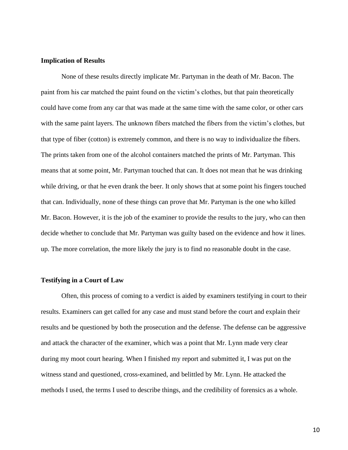#### **Implication of Results**

None of these results directly implicate Mr. Partyman in the death of Mr. Bacon. The paint from his car matched the paint found on the victim's clothes, but that pain theoretically could have come from any car that was made at the same time with the same color, or other cars with the same paint layers. The unknown fibers matched the fibers from the victim's clothes, but that type of fiber (cotton) is extremely common, and there is no way to individualize the fibers. The prints taken from one of the alcohol containers matched the prints of Mr. Partyman. This means that at some point, Mr. Partyman touched that can. It does not mean that he was drinking while driving, or that he even drank the beer. It only shows that at some point his fingers touched that can. Individually, none of these things can prove that Mr. Partyman is the one who killed Mr. Bacon. However, it is the job of the examiner to provide the results to the jury, who can then decide whether to conclude that Mr. Partyman was guilty based on the evidence and how it lines. up. The more correlation, the more likely the jury is to find no reasonable doubt in the case.

#### **Testifying in a Court of Law**

Often, this process of coming to a verdict is aided by examiners testifying in court to their results. Examiners can get called for any case and must stand before the court and explain their results and be questioned by both the prosecution and the defense. The defense can be aggressive and attack the character of the examiner, which was a point that Mr. Lynn made very clear during my moot court hearing. When I finished my report and submitted it, I was put on the witness stand and questioned, cross-examined, and belittled by Mr. Lynn. He attacked the methods I used, the terms I used to describe things, and the credibility of forensics as a whole.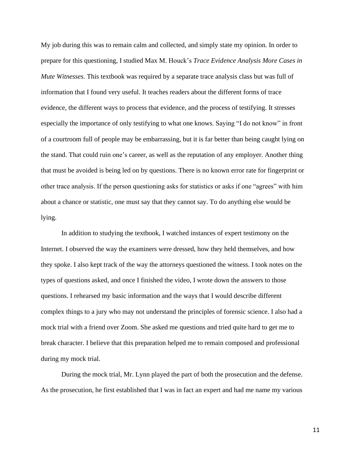My job during this was to remain calm and collected, and simply state my opinion. In order to prepare for this questioning, I studied Max M. Houck's *Trace Evidence Analysis More Cases in Mute Witnesses*. This textbook was required by a separate trace analysis class but was full of information that I found very useful. It teaches readers about the different forms of trace evidence, the different ways to process that evidence, and the process of testifying. It stresses especially the importance of only testifying to what one knows. Saying "I do not know" in front of a courtroom full of people may be embarrassing, but it is far better than being caught lying on the stand. That could ruin one's career, as well as the reputation of any employer. Another thing that must be avoided is being led on by questions. There is no known error rate for fingerprint or other trace analysis. If the person questioning asks for statistics or asks if one "agrees" with him about a chance or statistic, one must say that they cannot say. To do anything else would be lying.

In addition to studying the textbook, I watched instances of expert testimony on the Internet. I observed the way the examiners were dressed, how they held themselves, and how they spoke. I also kept track of the way the attorneys questioned the witness. I took notes on the types of questions asked, and once I finished the video, I wrote down the answers to those questions. I rehearsed my basic information and the ways that I would describe different complex things to a jury who may not understand the principles of forensic science. I also had a mock trial with a friend over Zoom. She asked me questions and tried quite hard to get me to break character. I believe that this preparation helped me to remain composed and professional during my mock trial.

During the mock trial, Mr. Lynn played the part of both the prosecution and the defense. As the prosecution, he first established that I was in fact an expert and had me name my various

11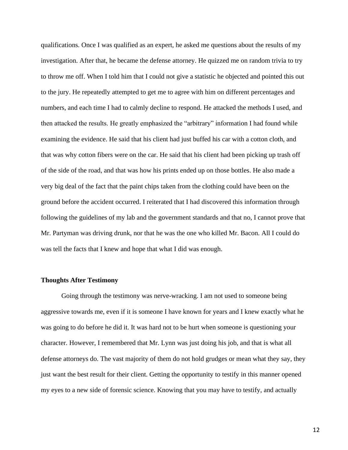qualifications. Once I was qualified as an expert, he asked me questions about the results of my investigation. After that, he became the defense attorney. He quizzed me on random trivia to try to throw me off. When I told him that I could not give a statistic he objected and pointed this out to the jury. He repeatedly attempted to get me to agree with him on different percentages and numbers, and each time I had to calmly decline to respond. He attacked the methods I used, and then attacked the results. He greatly emphasized the "arbitrary" information I had found while examining the evidence. He said that his client had just buffed his car with a cotton cloth, and that was why cotton fibers were on the car. He said that his client had been picking up trash off of the side of the road, and that was how his prints ended up on those bottles. He also made a very big deal of the fact that the paint chips taken from the clothing could have been on the ground before the accident occurred. I reiterated that I had discovered this information through following the guidelines of my lab and the government standards and that no, I cannot prove that Mr. Partyman was driving drunk, nor that he was the one who killed Mr. Bacon. All I could do was tell the facts that I knew and hope that what I did was enough.

#### **Thoughts After Testimony**

Going through the testimony was nerve-wracking. I am not used to someone being aggressive towards me, even if it is someone I have known for years and I knew exactly what he was going to do before he did it. It was hard not to be hurt when someone is questioning your character. However, I remembered that Mr. Lynn was just doing his job, and that is what all defense attorneys do. The vast majority of them do not hold grudges or mean what they say, they just want the best result for their client. Getting the opportunity to testify in this manner opened my eyes to a new side of forensic science. Knowing that you may have to testify, and actually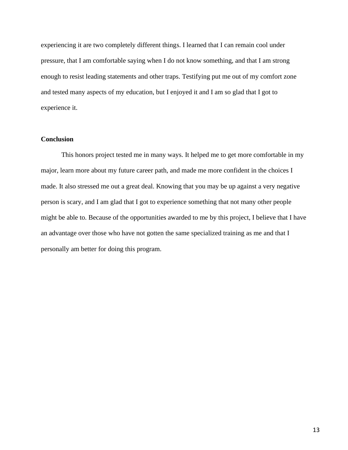experiencing it are two completely different things. I learned that I can remain cool under pressure, that I am comfortable saying when I do not know something, and that I am strong enough to resist leading statements and other traps. Testifying put me out of my comfort zone and tested many aspects of my education, but I enjoyed it and I am so glad that I got to experience it.

#### **Conclusion**

This honors project tested me in many ways. It helped me to get more comfortable in my major, learn more about my future career path, and made me more confident in the choices I made. It also stressed me out a great deal. Knowing that you may be up against a very negative person is scary, and I am glad that I got to experience something that not many other people might be able to. Because of the opportunities awarded to me by this project, I believe that I have an advantage over those who have not gotten the same specialized training as me and that I personally am better for doing this program.